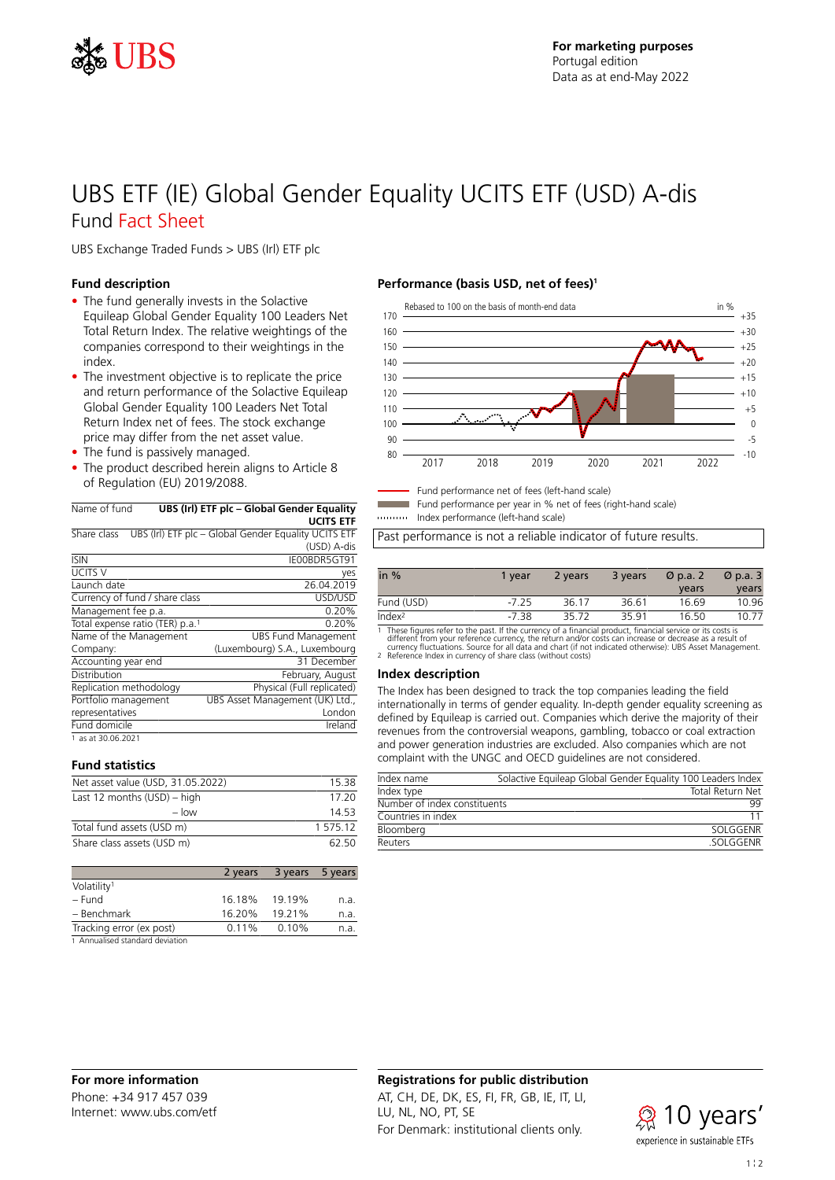

## UBS ETF (IE) Global Gender Equality UCITS ETF (USD) A-dis Fund Fact Sheet

UBS Exchange Traded Funds > UBS (Irl) ETF plc

### **Fund description**

- The fund generally invests in the Solactive Equileap Global Gender Equality 100 Leaders Net Total Return Index. The relative weightings of the companies correspond to their weightings in the index.
- The investment objective is to replicate the price and return performance of the Solactive Equileap Global Gender Equality 100 Leaders Net Total Return Index net of fees. The stock exchange price may differ from the net asset value.
- The fund is passively managed.
- The product described herein aligns to Article 8 of Regulation (EU) 2019/2088.

| Name of fund | UBS (Irl) ETF plc - Global Gender Equality                        |
|--------------|-------------------------------------------------------------------|
|              | <b>UCITS ETF</b>                                                  |
|              | Sharp class LIDS (lrl) ETE plc. Clobal Condor Equality LICITS ETE |

| Share class                                 | UBS (Irl) ETF plc - Global Gender Equality UCITS ETF |
|---------------------------------------------|------------------------------------------------------|
|                                             | (USD) A-dis                                          |
| <b>ISIN</b>                                 | IE00BDR5GT91                                         |
| <b>UCITS V</b>                              | yes                                                  |
| Launch date                                 | 26.04.2019                                           |
| Currency of fund / share class              | USD/USD                                              |
| Management fee p.a.                         | 0.20%                                                |
| Total expense ratio (TER) p.a. <sup>1</sup> | 0.20%                                                |
| Name of the Management                      | <b>UBS Fund Management</b>                           |
| Company:                                    | (Luxembourg) S.A., Luxembourg                        |
| Accounting year end                         | 31 December                                          |
| Distribution                                | February, August                                     |
| Replication methodology                     | Physical (Full replicated)                           |
| Portfolio management                        | UBS Asset Management (UK) Ltd.,                      |
| representatives                             | London                                               |
| Fund domicile                               | Ireland                                              |
| 1 as at 30.06.2021                          |                                                      |

#### **Fund statistics**

| Net asset value (USD, 31.05.2022) | 15.38    |  |
|-----------------------------------|----------|--|
| Last 12 months $(USD)$ – high     |          |  |
| $-$ low                           | 14 53    |  |
| Total fund assets (USD m)         | 1 575 12 |  |
| Share class assets (USD m)        | 62.50    |  |

|                          | 2 years | 3 years 5 years |      |
|--------------------------|---------|-----------------|------|
| Volatility <sup>1</sup>  |         |                 |      |
| – Fund                   | 16.18%  | 19.19%          | n.a. |
| - Benchmark              | 16.20%  | 19.21%          | n.a. |
| Tracking error (ex post) | 0.11%   | 0.10%           | n.a. |
|                          |         |                 |      |

1 Annualised standard deviation

### **Performance (basis USD, net of fees)<sup>1</sup>**



- Fund performance net of fees (left-hand scale)

Fund performance per year in % net of fees (right-hand scale)

Index performance (left-hand scale)

Past performance is not a reliable indicator of future results.

| in $%$             | 1 vear  | 2 years | 3 years | $\varnothing$ p.a. 2 | $\varnothing$ p.a. 3 |
|--------------------|---------|---------|---------|----------------------|----------------------|
|                    |         |         |         | years                | years                |
| Fund (USD)         | $-7.25$ | 36.17   | 36.61   | 16.69                | 10.96                |
| Index <sup>2</sup> | -738    | 3572    | 3591    | 16.50                | 10.77                |

1 These figures refer to the past. If the currency of a financial product, financial service or its costs is<br>different from your reference currency, the return and/or costs can increase or decrease as a result of<br>currency

#### **Index description**

The Index has been designed to track the top companies leading the field internationally in terms of gender equality. In-depth gender equality screening as defined by Equileap is carried out. Companies which derive the majority of their revenues from the controversial weapons, gambling, tobacco or coal extraction and power generation industries are excluded. Also companies which are not complaint with the UNGC and OECD guidelines are not considered.

| Index name                   | Solactive Equileap Global Gender Equality 100 Leaders Index |
|------------------------------|-------------------------------------------------------------|
| Index type                   | <b>Total Return Net</b>                                     |
| Number of index constituents | 99                                                          |
| Countries in index           |                                                             |
| Bloomberg                    | SOI GGENR                                                   |
| Reuters                      | SOLGGENR                                                    |

### **Registrations for public distribution**

AT, CH, DE, DK, ES, FI, FR, GB, IE, IT, LI, LU, NL, NO, PT, SE For Denmark: institutional clients only.